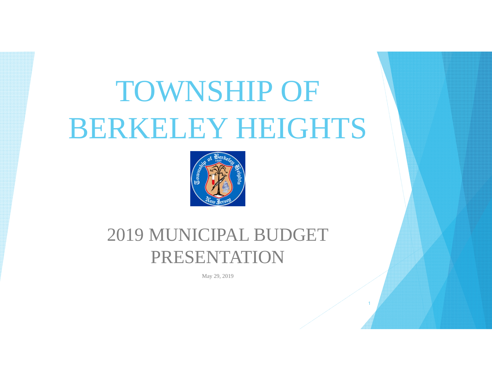# TOWNSHIP OF BERKELEY HEIGHTS



# 2019 MUNICIPAL BUDGET PRESENTATION

May 29, 2019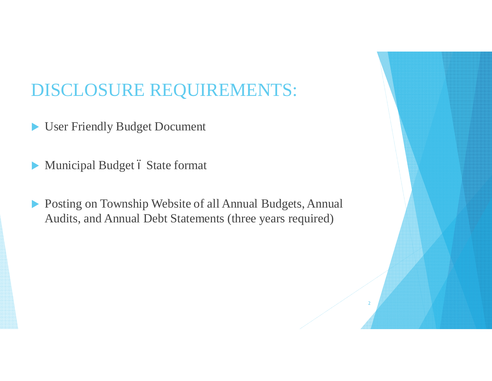# DISCLOSURE REQUIREMENTS:

- User Friendly Budget Document
- $\blacktriangleright$  Municipal Budget ó State format
- ▶ Posting on Township Website of all Annual Budgets, Annual Audits, and Annual Debt Statements (three years required)

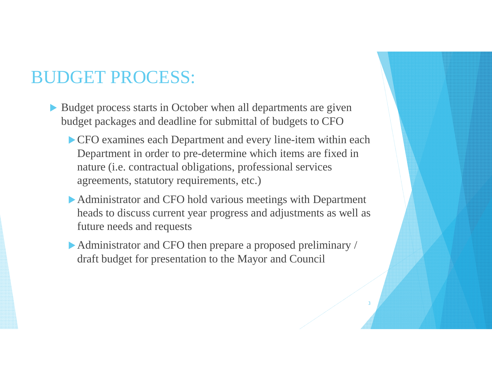#### BUDGET PROCESS:

- $\blacktriangleright$  Budget process starts in October when all departments are given budget packages and deadline for submittal of budgets to CFO
	- $\triangleright$  CFO examines each Department and every line-item within each Department in order to pre-determine which items are fixed in nature (i.e. contractual obligations, professional services agreements, statutory requirements, etc.)
	- $\blacktriangleright$  Administrator and CFO hold various meetings with Department heads to discuss current year progress and adjustments as well as future needs and requests
	- $\blacktriangleright$  Administrator and CFO then prepare a proposed preliminary / draft budget for presentation to the Mayor and Council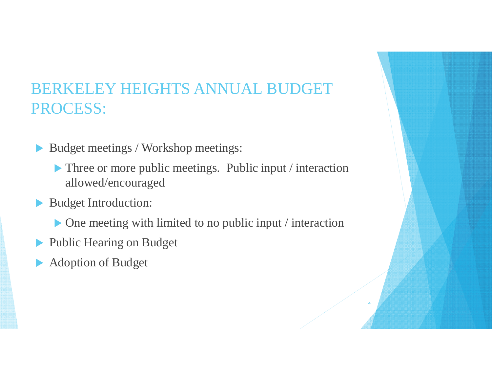#### BERKELEY HEIGHTS ANNUAL BUDGET PROCESS:

- ▶ Budget meetings / Workshop meetings:
	- $\blacktriangleright$  Three or more public meetings. Public input / interaction allowed/encouraged
- Budget Introduction:
	- $\triangleright$  One meeting with limited to no public input / interaction

- **Public Hearing on Budget**
- Adoption of Budget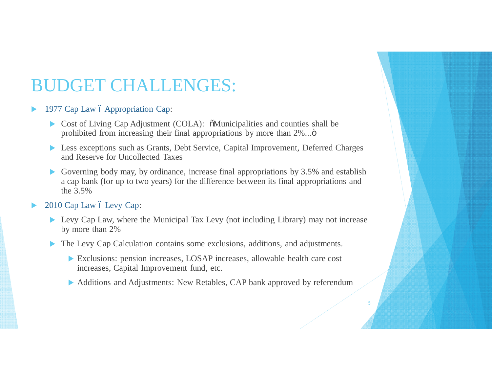#### BUDGET CHALLENGES:

#### 1977 Cap Law ó Appropriation Cap:

- $\triangleright$  Cost of Living Cap Adjustment (COLA):  $\delta$ Municipalities and counties shall be prohibited from increasing their final appropriations by more than  $2\%$ ... $\ddot{\rm o}$
- ▶ Less exceptions such as Grants, Debt Service, Capital Improvement, Deferred Charges and Reserve for Uncollected Taxes
- Governing body may, by ordinance, increase final appropriations by  $3.5\%$  and establish a cap bank (for up to two years) for the difference between its final appropriations and the 3.5%

#### 2010 Cap Law 6 Levy Cap:

- $\blacktriangleright$  Levy Cap Law, where the Municipal Tax Levy (not including Library) may not increase by more than 2%
- The Levy Cap Calculation contains some exclusions, additions, and adjustments.
	- Exclusions: pension increases, LOSAP increases, allowable health care cost increases, Capital Improvement fund, etc.
	- ▶ Additions and Adjustments: New Retables, CAP bank approved by referendum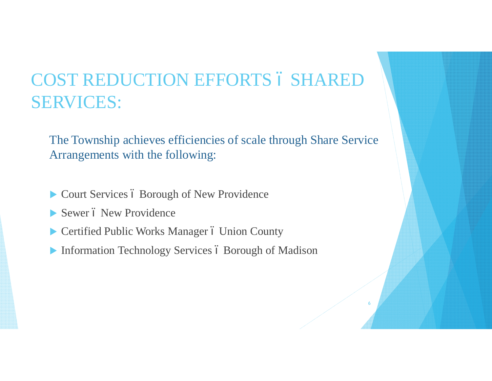# COST REDUCTION EFFORTS 6 SHARED SERVICES:

The Township achieves efficiencies of scale through Share Service Arrangements with the following:

- $\triangleright$  Court Services ó Borough of New Providence
- Sewer ó New Providence
- **Exercified Public Works Manager 6 Union County**
- $\blacktriangleright$  Information Technology Services ó Borough of Madison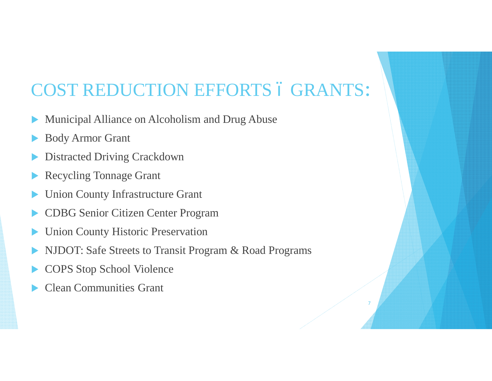#### COST REDUCTION EFFORTS ó GRANTS:

- Municipal Alliance on Alcoholism and Drug Abuse
- **Body Armor Grant**
- Distracted Driving Crackdown
- Recycling Tonnage Grant
- Union County Infrastructure Grant
- CDBG Senior Citizen Center Program
- **Union County Historic Preservation**
- NJDOT: Safe Streets to Transit Program & Road Programs

- COPS Stop School Violence
- **Clean Communities Grant**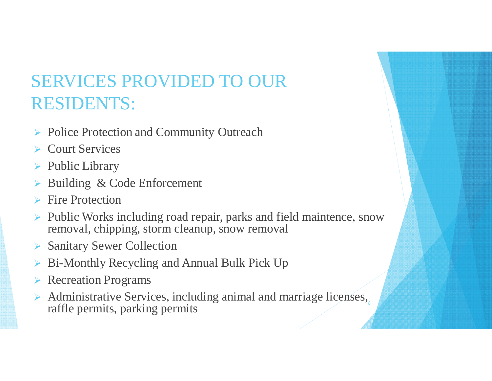# SERVICES PROVIDED TO OUR RESIDENTS:

- ▶ Police Protection and Community Outreach
- $\triangleright$  Court Services
- $\triangleright$  Public Library
- Building & Code Enforcement
- $\triangleright$  Fire Protection
- $\triangleright$  Public Works including road repair, parks and field maintence, snow removal, chipping, storm cleanup, snow removal
- ▶ Sanitary Sewer Collection
- Bi-Monthly Recycling and Annual Bulk Pick Up
- $\triangleright$  Recreation Programs
- $\triangleright$  Administrative Services, including animal and marriage licenses, raffle permits, parking permits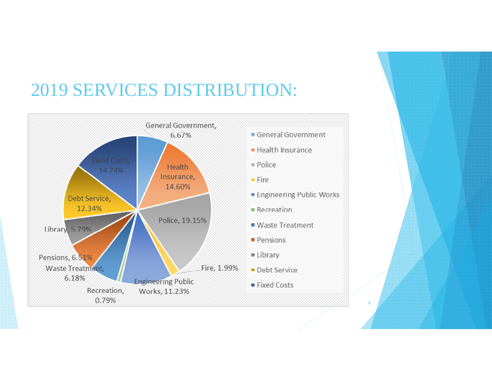# 2019 SERVICES DISTRIBUTION:

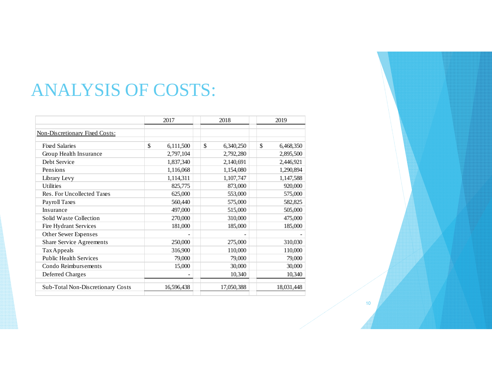#### ANALYSIS OF COSTS:

|                                   | 2017            | 2018            | 2019            |
|-----------------------------------|-----------------|-----------------|-----------------|
| Non-Discretionary Fixed Costs:    |                 |                 |                 |
| <b>Fixed Salaries</b>             | \$<br>6,111,500 | \$<br>6,340,250 | \$<br>6,468,350 |
| Group Health Insurance            | 2,797,104       | 2,792,280       | 2,895,500       |
| Debt Service                      | 1,837,340       | 2,140,691       | 2,446,921       |
| Pensions                          | 1,116,068       | 1,154,080       | 1,290,894       |
| Library Levy                      | 1,114,311       | 1,107,747       | 1,147,588       |
| <b>Utilities</b>                  | 825,775         | 873,000         | 920,000         |
| Res. For Uncollected Taxes        | 625,000         | 553,000         | 575,000         |
| Payroll Taxes                     | 560,440         | 575,000         | 582,825         |
| Insurance                         | 497,000         | 515,000         | 505,000         |
| Solid Waste Collection            | 270,000         | 310,000         | 475,000         |
| Fire Hydrant Services             | 181,000         | 185,000         | 185,000         |
| Other Sewer Expenses              |                 |                 |                 |
| <b>Share Service Agreements</b>   | 250,000         | 275,000         | 310,030         |
| Tax Appeals                       | 316,900         | 110,000         | 110,000         |
| <b>Public Health Services</b>     | 79,000          | 79,000          | 79,000          |
| Condo Reimbursements              | 15,000          | 30,000          | 30,000          |
| Deferred Charges                  |                 | 10,340          | 10,340          |
| Sub-Total Non-Discretionary Costs | 16,596,438      | 17,050,388      | 18,031,448      |

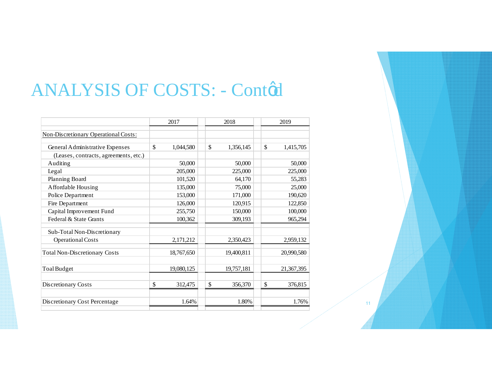# ANALYSIS OF COSTS: - Conted

|                                             | 2017 |            | 2018         |            |  | 2019            |  |  |
|---------------------------------------------|------|------------|--------------|------------|--|-----------------|--|--|
| <b>Non-Discretionary Operational Costs:</b> |      |            |              |            |  |                 |  |  |
|                                             |      |            |              |            |  |                 |  |  |
| General Administrative Expenses             | \$   | 1,044,580  | $\mathbb{S}$ | 1,356,145  |  | \$<br>1,415,705 |  |  |
| (Leases, contracts, agreements, etc.)       |      |            |              |            |  |                 |  |  |
| Auditing                                    |      | 50,000     |              | 50,000     |  | 50,000          |  |  |
| Legal                                       |      | 205,000    |              | 225,000    |  | 225,000         |  |  |
| Planning Board                              |      | 101,520    |              | 64,170     |  | 55,283          |  |  |
| Affordable Housing                          |      | 135,000    |              | 75,000     |  | 25,000          |  |  |
| Police Department                           |      | 153,000    |              | 171,000    |  | 190,620         |  |  |
| Fire Department                             |      | 126,000    |              | 120,915    |  | 122,850         |  |  |
| Capital Improvement Fund                    |      | 255,750    |              | 150,000    |  | 100,000         |  |  |
| Federal & State Grants                      |      | 100,362    |              | 309,193    |  | 965,294         |  |  |
| Sub-Total Non-Discretionary                 |      |            |              |            |  |                 |  |  |
| Operational Costs                           |      | 2,171,212  |              | 2,350,423  |  | 2,959,132       |  |  |
| <b>Total Non-Discretionary Costs</b>        |      | 18,767,650 |              | 19,400,811 |  | 20,990,580      |  |  |
| <b>Toal Budget</b>                          |      | 19,080,125 |              | 19,757,181 |  | 21,367,395      |  |  |
| Discretionary Costs                         | \$   | 312,475    | \$           | 356,370    |  | \$<br>376,815   |  |  |
| Discretionary Cost Percentage               |      | 1.64%      |              | 1.80%      |  | 1.76%           |  |  |

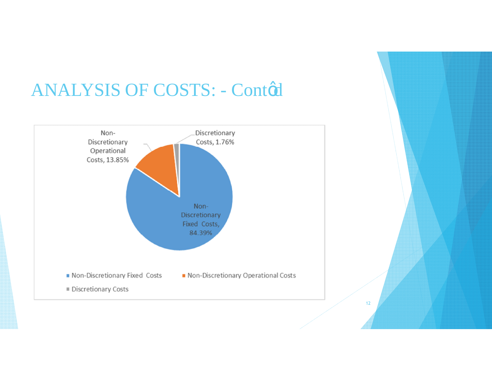#### **ANALYSIS OF COSTS: - Conted**



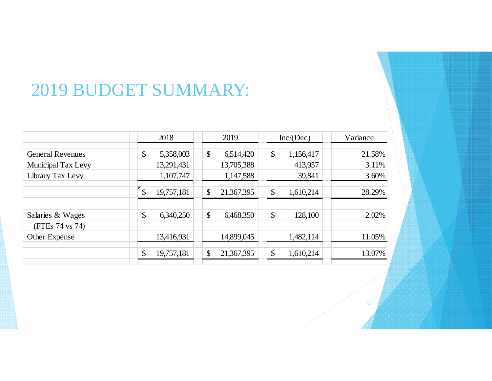#### 2019 BUDGET SUMMARY:

|                         |               | 2018       |    | 2019       |                           | Inc/(Dec) | Variance |
|-------------------------|---------------|------------|----|------------|---------------------------|-----------|----------|
| <b>General Revenues</b> | \$            | 5,358,003  | \$ | 6,514,420  | $\boldsymbol{\mathsf{S}}$ | 1,156,417 | 21.58%   |
| Municipal Tax Levy      |               | 13,291,431 |    | 13,705,388 |                           | 413,957   | 3.11%    |
| Library Tax Levy        |               | 1,107,747  |    | 1,147,588  |                           | 39,841    | 3.60%    |
|                         | $\mathcal{S}$ | 19,757,181 | \$ | 21,367,395 | $\mathcal{S}$             | 1,610,214 | 28.29%   |
|                         |               |            |    |            |                           |           |          |
| Salaries & Wages        | \$            | 6,340,250  | \$ | 6,468,350  | \$                        | 128,100   | 2.02%    |
| (FTEs 74 vs 74)         |               |            |    |            |                           |           |          |
| Other Expense           |               | 13,416,931 |    | 14,899,045 |                           | 1,482,114 | 11.05%   |
|                         | \$            | 19,757,181 | \$ | 21,367,395 | \$                        | 1,610,214 | 13.07%   |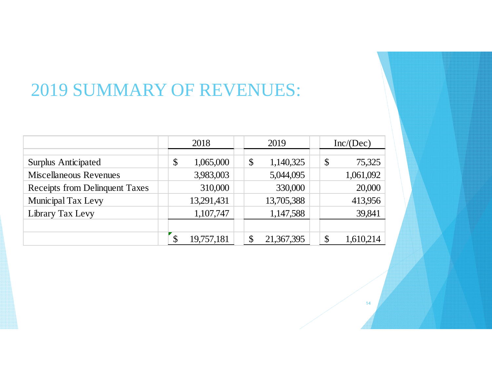# 2019 SUMMARY OF REVENUES:

|                                       | 2018 |            | 2019 |    |            | Inc/(Dec)                  |           |
|---------------------------------------|------|------------|------|----|------------|----------------------------|-----------|
|                                       |      |            |      |    |            |                            |           |
| <b>Surplus Anticipated</b>            | \$   | 1,065,000  |      | \$ | 1,140,325  | $\boldsymbol{\mathsf{\$}}$ | 75,325    |
| <b>Miscellaneous Revenues</b>         |      | 3,983,003  |      |    | 5,044,095  |                            | 1,061,092 |
| <b>Receipts from Delinquent Taxes</b> |      | 310,000    |      |    | 330,000    |                            | 20,000    |
| Municipal Tax Levy                    |      | 13,291,431 |      |    | 13,705,388 |                            | 413,956   |
| Library Tax Levy                      |      | 1,107,747  |      |    | 1,147,588  |                            | 39,841    |
|                                       |      |            |      |    |            |                            |           |
|                                       |      | 19,757,181 |      |    | 21,367,395 | $\mathbb{S}$               | 1,610,2   |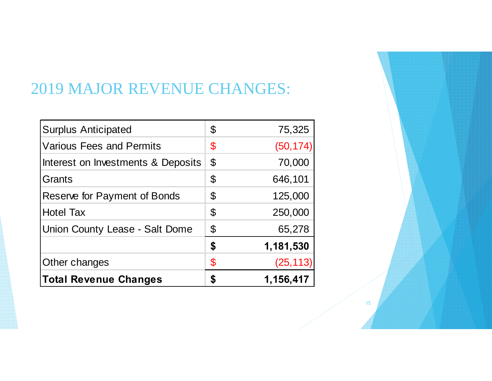#### 2019 MAJOR REVENUE CHANGES:

| <b>Surplus Anticipated</b>            | \$<br>75,325    |
|---------------------------------------|-----------------|
| <b>Various Fees and Permits</b>       | \$<br>(50, 174) |
| Interest on Investments & Deposits    | \$<br>70,000    |
| Grants                                | \$<br>646,101   |
| Reserve for Payment of Bonds          | \$<br>125,000   |
| <b>Hotel Tax</b>                      | \$<br>250,000   |
| <b>Union County Lease - Salt Dome</b> | \$<br>65,278    |
|                                       | \$<br>1,181,530 |
| Other changes                         | \$<br>(25, 113) |
| <b>Total Revenue Changes</b>          | 1,156,417       |

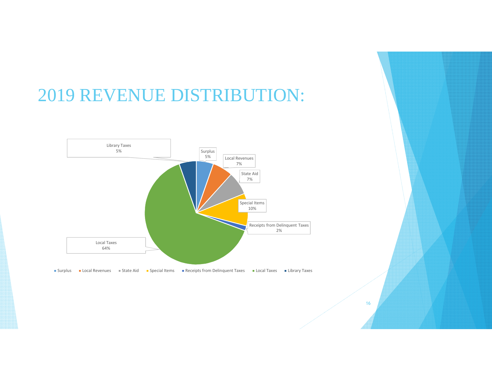#### 2019 REVENUE DISTRIBUTION:

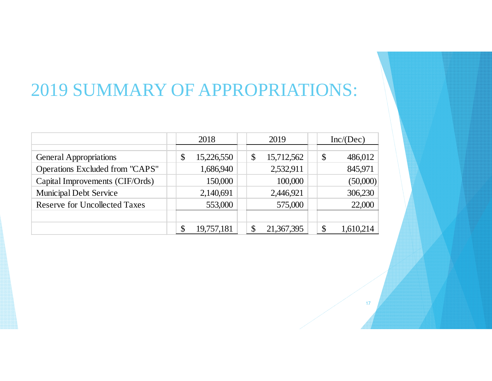# 2019 SUMMARY OF APPROPRIATIONS:

|                                      | 2018 |            | 2019          |            |  | Inc/(Dec)     |           |
|--------------------------------------|------|------------|---------------|------------|--|---------------|-----------|
|                                      |      |            |               |            |  |               |           |
| <b>General Appropriations</b>        | \$   | 15,226,550 | $\mathcal{S}$ | 15,712,562 |  | $\mathcal{S}$ | 486,012   |
| Operations Excluded from "CAPS"      |      | 1,686,940  |               | 2,532,911  |  |               | 845,971   |
| Capital Improvements (CIF/Ords)      |      | 150,000    |               | 100,000    |  |               | (50,000)  |
| <b>Municipal Debt Service</b>        |      | 2,140,691  |               | 2,446,921  |  |               | 306,230   |
| <b>Reserve for Uncollected Taxes</b> |      | 553,000    |               | 575,000    |  |               | 22,000    |
|                                      |      |            |               |            |  |               |           |
|                                      | \$   | 19,757,181 |               | 21,367,395 |  |               | 1,610,214 |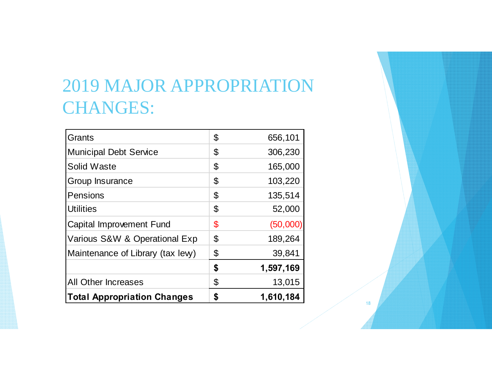# 2019 MAJOR APPROPRIATION CHANGES:

| Grants                             | \$ | 656,101   |
|------------------------------------|----|-----------|
| <b>Municipal Debt Service</b>      | \$ | 306,230   |
| <b>Solid Waste</b>                 | \$ | 165,000   |
| Group Insurance                    | \$ | 103,220   |
| Pensions                           | \$ | 135,514   |
| <b>Utilities</b>                   | \$ | 52,000    |
| <b>Capital Improvement Fund</b>    | \$ | (50,000)  |
| Various S&W & Operational Exp      | \$ | 189,264   |
| Maintenance of Library (tax lew)   | \$ | 39,841    |
|                                    | \$ | 1,597,169 |
| <b>All Other Increases</b>         | \$ | 13,015    |
| <b>Total Appropriation Changes</b> | S  | 1,610,184 |

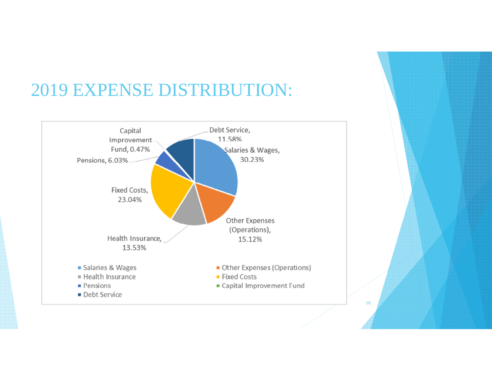# 2019 EXPENSE DISTRIBUTION:



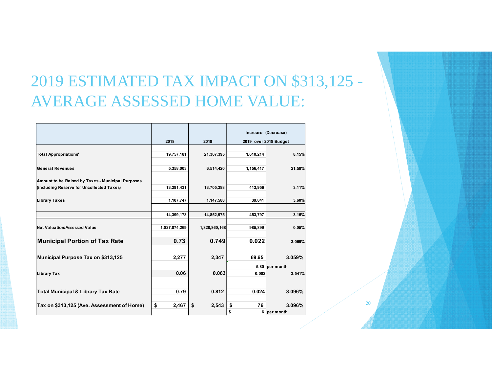#### 2019 ESTIMATED TAX IMPACT ON \$313,125 - AVERAGE ASSESSED HOME VALUE:

|                                                   |               |               |           | Increase (Decrease)   |
|---------------------------------------------------|---------------|---------------|-----------|-----------------------|
|                                                   | 2018          | 2019          |           | 2019 over 2018 Budget |
|                                                   |               |               |           |                       |
| <b>Total Appropriations*</b>                      | 19,757,181    | 21,367,395    | 1,610,214 | 8.15%                 |
|                                                   |               |               |           |                       |
| <b>General Revenues</b>                           | 5,358,003     | 6,514,420     | 1,156,417 | 21.58%                |
|                                                   |               |               |           |                       |
| Amount to be Raised by Taxes - Municipal Purposes |               |               |           |                       |
| (including Reserve for Uncollected Taxes)         | 13,291,431    | 13,705,388    | 413,956   | 3.11%                 |
| <b>Library Taxes</b>                              | 1,107,747     | 1,147,588     | 39,841    | 3.60%                 |
|                                                   |               |               |           |                       |
|                                                   | 14,399,178    | 14,852,975    | 453,797   | 3.15%                 |
|                                                   |               |               |           |                       |
| Net Valuation/Assessed Value                      | 1,827,874,269 | 1,828,860,168 | 985,899   | 0.05%                 |
| <b>Municipal Portion of Tax Rate</b>              | 0.73          | 0.749         | 0.022     | 3.059%                |
|                                                   |               |               |           |                       |
| Municipal Purpose Tax on \$313,125                | 2,277         | 2,347         | 69.65     | 3.059%                |
|                                                   |               |               |           | 5.80 per month        |
| <b>Library Tax</b>                                | 0.06          | 0.063         | 0.002     | 3.541%                |
|                                                   |               |               |           |                       |
|                                                   | 0.79          | 0.812         | 0.024     | 3.096%                |
| <b>Total Municipal &amp; Library Tax Rate</b>     |               |               |           |                       |
| Tax on \$313,125 (Ave. Assessment of Home)        | \$<br>2,467   | \$<br>2,543   | \$<br>76  | 3.096%                |
|                                                   |               |               | \$        | 6 per month           |
|                                                   |               |               |           |                       |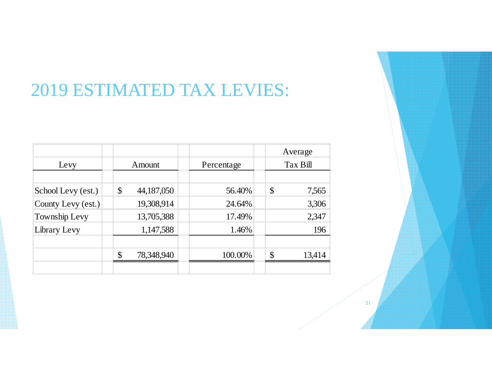# 2019 ESTIMATED TAX LEVIES:

|                    |               |            |  |         |               | Average    |  |          |
|--------------------|---------------|------------|--|---------|---------------|------------|--|----------|
| Levy               |               | Amount     |  |         |               | Percentage |  | Tax Bill |
|                    |               |            |  |         |               |            |  |          |
| School Levy (est.) | \$            | 44,187,050 |  | 56.40%  | \$            | 7,565      |  |          |
| County Levy (est.) |               | 19,308,914 |  | 24.64%  |               | 3,306      |  |          |
| Township Levy      |               | 13,705,388 |  | 17.49%  |               | 2,347      |  |          |
| Library Levy       |               | 1,147,588  |  | 1.46%   |               | 196        |  |          |
|                    |               |            |  |         |               |            |  |          |
|                    | $\mathcal{S}$ | 78,348,940 |  | 100.00% | $\mathcal{S}$ | 13,414     |  |          |
|                    |               |            |  |         |               |            |  |          |

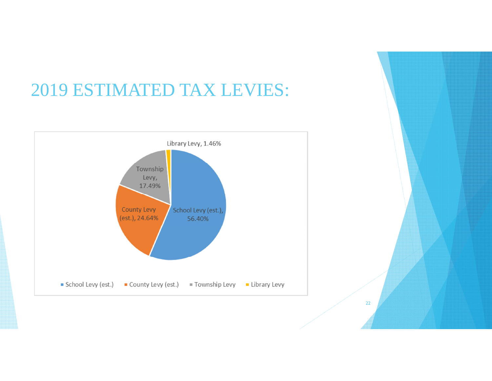# 2019 ESTIMATED TAX LEVIES: